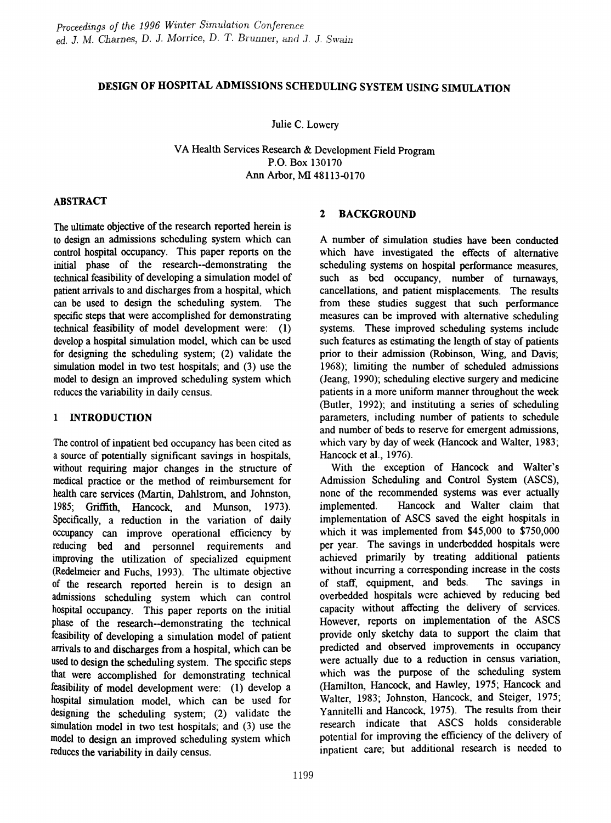# DESIGN OF HOSPITAL ADMISSIONS SCHEDULING SYSTEM USING SIMULATION

Julie C. Lowery

VA Health Services Research & Development Field Program P.O. Box 130170 Ann Arbor, MI 48113-0170

#### ABSTRACT

The ultimate objective of the research reported herein is to design an admissions scheduling system which can control hospital occupancy. This paper reports on the initial phase of the research--demonstrating the technical feasibility of developing a simulation model of patient arrivals to and discharges from a hospital, which can be used to design the scheduling system. The specific steps that were accomplished for demonstrating technical feasibility of model development were: (1) develop a hospital simulation model, which can be used for designing the scheduling system; (2) validate the simulation model in two test hospitals; and (3) use the model to design an improved scheduling system which reduces the variability in daily census.

#### 1 INTRODUCTION

The control of inpatient bed occupancy has been cited as a source of potentially significant savings in hospitals, without requiring major changes in the structure of medical practice or the method of reimbursement for health care services (Martin, Dahlstrom, and Johnston, 1985; Griffith, Hancock, and Munson, 1973). Specifically, a reduction in the variation of daily occupancy can improve operational efficiency by reducing bed and personnel requirements and improving the utilization of specialized equipment (Redelmeier and Fuchs, 1993). The ultimate objective of the research reported herein is to design an admissions scheduling system which can control hospital occupancy. This paper reports on the initial phase of the research--demonstrating the technical feasibility of developing a simulation model of patient arrivals to and discharges from a hospital, which can be used to design the scheduling system. The specific steps that were accomplished for demonstrating technical feasibility of model development were: (1) develop a hospital simulation model, which can be used for designing the scheduling system; (2) validate the simulation model in two test hospitals; and  $(3)$  use the model to design an improved scheduling system which reduces the variability in daily census.

# 2 BACKGROUND

A number of simulation studies have been conducted which have investigated the effects of alternative scheduling systems on hospital performance measures, such as bed occupancy, number of turnaways, cancellations, and patient misplacements. The results from these studies suggest that such performance measures can be improved with alternative scheduling systems. These improved scheduling systems include such features as estimating the length of stay of patients prior to their admission (Robinson, Wing, and Davis; 1968); limiting the number of scheduled admissions (Jeang, 1990); scheduling elective surgery and medicine patients in a more uniform manner throughout the week (Butler, 1992); and instituting a series of scheduling parameters, including number of patients to schedule and number of beds to reserve for emergent admissions, which vary by day of week (Hancock and Walter, 1983; Hancock et al., 1976).

With the exception of Hancock and Walter's Admission Scheduling and Control System (ASCS), none of the recommended systems was ever actually implemented. Hancock and Walter claim that implementation of ASCS saved the eight hospitals in which it was implemented from \$45,000 to \$750,000 per year. The savings in underbedded hospitals were achieved primarily by treating additional patients without incurring a corresponding increase in the costs of staff, equipment, and beds. The savings in overbedded hospitals were achieved by reducing bed capacity without affecting the delivery of services. However, reports on implementation of the ASCS provide only sketchy data to support the claim that predicted and observed improvements in occupancy were actually due to a reduction in census variation, which was the purpose of the scheduling system (Hamilton, Hancock, and Hawley, 1975; Hancock and Walter, 1983; Johnston, Hancock, and Steiger, 1975; Yannitelli and Hancock, 1975). The results from their research indicate that ASCS holds considerable potential for improving the efficiency of the delivery of inpatient care; but additional research is needed to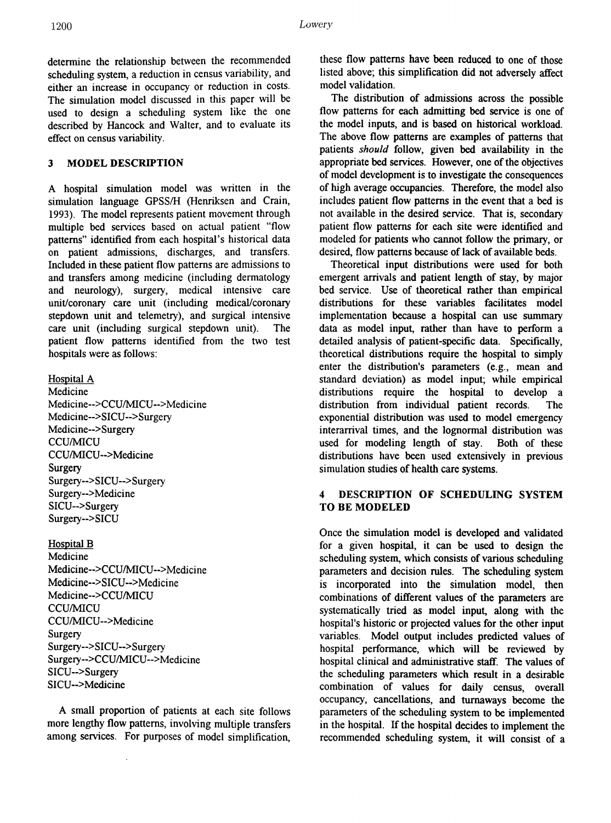determine the relationship between the recommended scheduling system, a reduction in census variability, and either an increase in occupancy or reduction in costs. The simulation model discussed in this paper will be used to design a scheduling system like the one described by Hancock and Walter, and to evaluate its effect on census variability.

#### 3 MODEL DESCRIPTION

A hospital simulation model was written in the simulation language GPSSIH (Henriksen and Crain, 1993). The model represents patient movement through multiple bed services based on actual patient "flow patterns" identified from each hospital's historical data on patient admissions, discharges, and transfers. Included in these patient flow patterns are admissions to and transfers among medicine (including dermatology and neurology), surgery, medical intensive care unit/coronary care unit (including medical/coronary stepdown unit and telemetry), and surgical intensive care unit (including surgical stepdown unit). The patient flow patterns identified from the two test hospitals were as follows:

Hospital A

Medicine Medicine-->CCU/MICU-->Medicine Medicine-->SICU-->Surgery Medicine-->Surgery CCU/MICU CCUIMICU-->Medicine **Surgery** Surgery-->SICU-->Surgery Surgery-->Medicine SICU-->Surgery Surgery-->SICU

Hospital B

Medicine Medicine-->CCUIMICU-->Medicine Medicine-->SICU-->Medicine Medicine-->CCU/MICU CCU/MICU CCU/MICU-->Medicine **Surgery** Surgery..->SICU-->Surgery Surgery-->CCU/MICU-->Medicine SICU-->Surgery SICU-->Medicine

A small proportion of patients at each site follows more lengthy flow patterns, involving multiple transfers among services. For purposes of model simplification, these flow patterns have been reduced to one of those listed above; this simplification did not adversely affect model validation.

The distribution of admissions across the possible flow patterns for each admitting bed service is one of the model inputs, and is based on historical workload. The above flow patterns are examples of patterns that patients *should* follow, given bed availability in the appropriate bed services. However, one of the objectives of model development is to investigate the consequences of high average occupancies. Therefore, the model also includes patient flow patterns in the event that a bed is not available in the desired service. That is, secondary patient flow patterns for each site were identified and modeled for patients who cannot follow the primary, or desired, flow patterns because of lack of available beds.

Theoretical input distributions were used for both emergent arrivals and patient length of stay, by major bed service. Use of theoretical rather than empirical distributions for these variables facilitates model implementation because a hospital can use summary data as model input, rather than have to perform a detailed analysis of patient-specific data. Specifically, theoretical distributions require the hospital to simply enter the distribution's parameters (e.g., mean and standard deviation) as model input; while empirical distributions require the hospital to develop a distribution from individual patient records. The exponential distribution was used to model emergency interarrival times, and the lognormal distribution was used for modeling length of stay. Both of these distributions have been used extensively in previous simulation studies of health care systems.

#### 4 DESCRIPTION OF SCHEDULING SYSTEM TO BE MODELED

Once the simulation model is developed and validated for a given hospital, it can be used to design the scheduling system, which consists of various scheduling parameters and decision rules. The scheduling system is incorporated into the simulation model, then combinations of different values of the parameters are systematically tried as model input, along with the hospital's historic or projected values for the other input variables. Model output includes predicted values of hospital performance, which will be reviewed by hospital clinical and administrative staff. The values of the scheduling parameters which result in a desirable combination of values for daily census, overall occupancy, cancellations, and tumaways become the parameters of the scheduling system to be implemented in the hospital. If the hospital decides to implement the recommended scheduling system, it will consist of a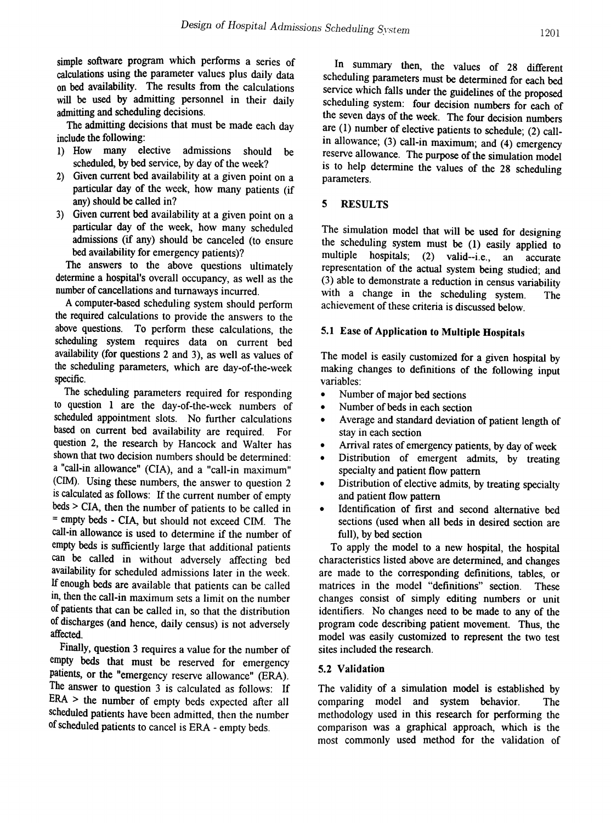simple software program which performs a series of calculations using the parameter values plus daily data on bed availability. The results from the calculations will be used by admitting personnel in their daily admitting and scheduling decisions.

The admitting decisions that must be made each day include the following:

- 1) How many elective admissions should be scheduled, by bed service, by day of the week?
- 2) Given current bed availability at a given point on a particular day of the week, how many patients (if any) should be called in?
- 3) Given current bed availability at a given point on a particular day of the week, how many scheduled admissions (if any) should be canceled (to ensure bed availability for emergency patients)?

The answers to the above questions ultimately detennine a hospital's overall occupancy, as well as the number of cancellations and turnaways incurred.

A computer-based scheduling system should perform the required calculations to provide the answers to the above questions. To perform these calculations, the scheduling system requires data on current bed availability (for questions 2 and 3), as well as values of the scheduling parameters, which are day-of-the-week specific.

The scheduling parameters required for responding to question 1 are the day-of-the-week numbers of scheduled appointment slots. No further calculations based on current bed availability are required. For question 2, the research by Hancock and Walter has shown that two decision numbers should be determined: a "call-in allowance" (CIA), and a "call-in maximum" (elM). Using these numbers, the answer to question 2 is calculated as follows: If the current number of empty beds > CIA, then the number of patients to be called in = empty beds - CIA, but should not exceed CIM. The call-in allowance is used to determine if the number of empty beds is sufficiently large that additional patients can be called in without adversely affecting bed availability for scheduled admissions later in the week. If enough beds are available that patients can be called in, then the call-in maximum sets a limit on the number of patients that can be called in, so that the distribution of discharges (and hence, daily census) is not adversely affected.

Finally, question 3 requires a value for the number of empty beds that must be reserved for emergency patients, or the "emergency reserve allowance" (ERA). The answer to question 3 is calculated as follows: If ERA > the number of empty beds expected after all scheduled patients have been admitted, then the number of scheduled patients to cancel is ERA - empty beds.

In summary then, the values of 28 different scheduling parameters must be determined for each bed service which falls under the guidelines of the proposed scheduling system: four decision numbers for each of the seven days of the week. The four decision numbers are (1) number of elective patients to schedule; (2) callin allowance; (3) call-in maximum; and (4) emergency reserve allowance. The purpose of the simulation model is to help determine the values of the 28 scheduling parameters.

#### 5 RESULTS

The simulation model that will be used for designing the scheduling system must be (1) easily applied to multiple hospitals; (2) valid--i.e., an accurate representation of the actual system being studied; and (3) able to demonstrate a reduction in census variability with a change in the scheduling system. The achievement of these criteria is discussed below.

#### 5.1 Ease of Application to Multiple Hospitals

The model is easily customized for a given hospital by making changes to definitions of the following input variables:

- Number of major bed sections
- Number of beds in each section
- Average and standard deviation of patient length of stay in each section
- Arrival rates of emergency patients, by day of week
- Distribution of emergent admits, by treating specialty and patient flow pattern
- Distribution of elective admits, by treating specialty and patient flow pattern
- Identification of first and second alternative bed sections (used when all beds in desired section are full), by bed section

To apply the model to a new hospital, the hospital characteristics listed above are determined, and changes are made to the corresponding definitions, tables, or matrices in the model "definitions" section. These changes consist of simply editing numbers or unit identifiers. No changes need to be made to any of the program code describing patient movement. Thus, the model was easily customized to represent the two test sites included the research.

#### 5.2 Validation

The validity of a simulation model is established by comparing model and system behavior. The methodology used in this research for performing the comparison was a graphical approach, which is the most commonly used method for the validation of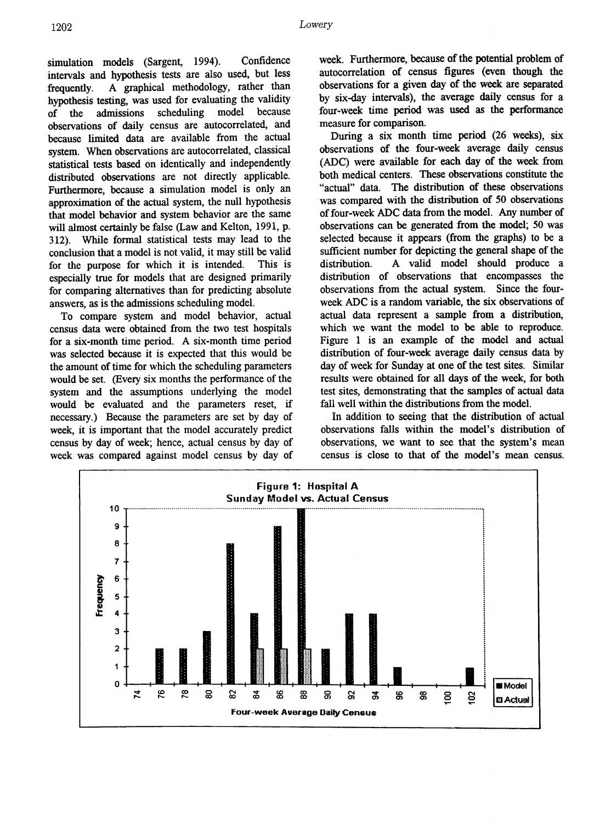simulation models (Sargent, 1994). Confidence intervals and hypothesis tests are also used, but less frequently. A graphical methodology, rather than hypothesis testing, was used for evaluating the validity of the admissions scheduling model because observations of daily census are autocorrelated, and because limited data are available from the actual system. When observations are autocorrelated, classical statistical tests based on identically and independently distributed observations are not directly applicable. Furthermore, because a simulation model is only an approximation of the actual system, the null hypothesis that model behavior and system behavior are the same will almost certainly be false (Law and Kelton, 1991, p. 312). While formal statistical tests may lead to the conclusion that a model is not valid, it may still be valid for the purpose for which it is intended. This is especially true for models that are designed primarily for comparing alternatives than for predicting absolute answers, as is the admissions scheduling model.

To compare system and model behavior, actual census data were obtained from the two test hospitals for a six-month time period. A six-month time period was selected because it is expected that this would be the amount of time for which the scheduling parameters would be set. (Every six months the performance of the system and the assumptions underlying the model would be evaluated and the parameters reset, if necessary.) Because the parameters are set by day of week, it is important that the model accurately predict census by day of week; hence, actual census by day of week was compared against model census by day of

week. Furthermore, because of the potential problem of autocorrelation of census figures (even though the observations for a given day of the week are separated by six-day intervals), the average daily census for a four-week time period was used as the performance measure for comparison.

During a six month time period (26 weeks), six observations of the four-week average daily census (ADC) were available for each day of the week from both medical centers. These observations constitute the "actual" data. The distribution of these observations was compared with the distribution of 50 observations of four-week ADC data from the model. Any number of observations can be generated from the model; 50 was selected because it appears (from the graphs) to be a sufficient number for depicting the general shape of the distribution. A valid model should produce a distribution of observations that encompasses the observations from the actual system. Since the fourweek ADC is a random variable, the six observations of actual data represent a sample from a distribution, which we want the model to be able to reproduce. Figure 1 is an example of the model and actual distribution of four-week average daily census data by day of week for Sunday at one of the test sites. Similar results were obtained for all days of the week, for both test sites, demonstrating that the samples of actual data fall well within the distributions from the model.

In addition to seeing that the distribution of actual observations falls within the model's distribution of observations, we want to see that the system's mean census is close to that of the model's mean census.

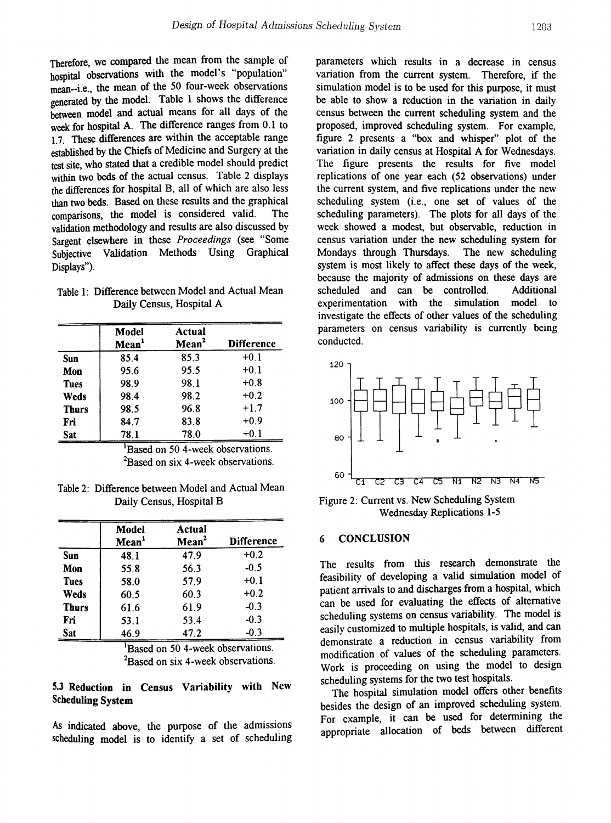Therefore, we compared the mean from the sample of hospital observations with the model's "population" mean--i.e., the mean of the 50 four-week observations generated by the model. Table 1 shows the difference between model and actual means for all days of the week for hospital A. The difference ranges from 0.1 to 1.7. These differences are within the acceptable range established by the Chiefs of Medicine and Surgery at the test site, who stated that a credible model should predict within two beds of the actual census. Table 2 displays the differences for hospital B, all of which are also less than two beds. Based on these results and the graphical comparisons, the model is considered valid. The validation methodology and results are also discussed by Sargent elsewhere in these *Proceedings* (see "Some Subjective Validation Methods Using Graphical Displays").

Table 1: Difference between Model and Actual Mean Daily Census, Hospital A

|              | Model<br>Mean <sup>1</sup> | Actual<br>Mean <sup>2</sup> | <b>Difference</b> |
|--------------|----------------------------|-----------------------------|-------------------|
| Sun          | 85.4                       | 85.3                        | $+0.1$            |
| Mon          | 95.6                       | 95.5                        | $+0.1$            |
| <b>Tues</b>  | 98.9                       | 98.1                        | $+0.8$            |
| Weds         | 98.4                       | 98.2                        | $+0.2$            |
| <b>Thurs</b> | 98.5                       | 96.8                        | $+1.7$            |
| Fri          | 84.7                       | 83.8                        | $+0.9$            |
| Sat          | 78.1                       | 78.0                        | $+0.1$            |

<sup>1</sup>Based on 50 4-week observations.  ${}^{2}$ Based on six 4-week observations.

Table 2: Difference between Model and Actual Mean Daily Census, Hospital B

|              | Model<br>Mean <sup>1</sup> | Actual<br>Mean <sup>2</sup> | <b>Difference</b> |
|--------------|----------------------------|-----------------------------|-------------------|
| Sun          | 48.1                       | 47.9                        | $+0.2$            |
| Mon          | 55.8                       | 56.3                        | $-0.5$            |
| <b>Tues</b>  | 58.0                       | 57.9                        | $+0.1$            |
| Weds         | 60.5                       | 60.3                        | $+0.2$            |
| <b>Thurs</b> | 61.6                       | 61.9                        | $-0.3$            |
| Fri          | 53.1                       | 53.4                        | $-0.3$            |
| Sat          | 46.9                       | 47.2                        | $-0.3$            |

<sup>1</sup>Based on 50 4-week observations.  ${}^{2}$ Based on six 4-week observations.

#### 5.3 Reduction in Census Variability with New Scheduling System

As indicated above, the purpose of the admissions scheduling model is to identify a set of scheduling parameters which results in a decrease in census variation from the current system. Therefore, if the simulation model is to be used for this purpose, it must be able to show a reduction in the variation in daily census between the current scheduling system and the proposed, improved scheduling system. For example, figure 2 presents a "box and whisper" plot of the variation in daily census at Hospital A for Wednesdays. The figure presents the results for five model replications of one year each (52 observations) under the current system, and five replications under the new scheduling system (i.e., one set of values of the scheduling parameters). The plots for all days of the week showed a modest, but observable, reduction in census variation under the new scheduling system for Mondays through Thursdays. system is most likely to affect these days of the week, because the majority of admissions on these days are<br>scheduled and can be controlled Additional scheduled and can be controlled. experimentation with the simulation model to investigate the effects of other values of the scheduling parameters on census variability is currently being conducted.



Figure 2: Current VS. New Scheduling System Wednesday Replications 1-5

#### **CONCLUSION**

The results from this research demonstrate the feasibility of developing a valid simulation model of patient arrivals to and discharges from a hospital, which can be used for evaluating the effects of alternative scheduling systems on census variability. The model is easily customized to multiple hospitals, is valid, and can demonstrate a reduction in census variability from modification of values of the scheduling parameters. Work is proceeding on using the model to design scheduling systems for the two test hospitals.

The hospital simulation model offers other benefits besides the design of an improved scheduling system. For example, it can be used for determining the appropriate allocation of beds between different